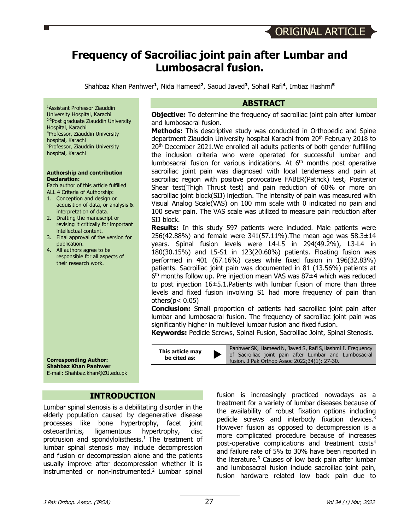# **Frequency of Sacroiliac joint pain after Lumbar and Lumbosacral fusion.**

Shahbaz Khan Panhwer**<sup>1</sup>**, Nida Hameed**<sup>2</sup>**, Saoud Javed**<sup>3</sup>**, Sohail Rafi**<sup>4</sup>**, Imtiaz Hashmi**<sup>5</sup>**

1 Assistant Professor Ziauddin University Hospital, Karachi <sup>2-3</sup>Post graduate Ziauddin University Hospital, Karachi 4 Professor, Ziauddin University hospital, Karachi 5 Professor, Ziauddin University hospital, Karachi

#### **Authorship and contribution Declaration:**

Each author of this article fulfilled ALL 4 Criteria of Authorship:

- 1. Conception and design or acquisition of data, or analysis & interpretation of data.
- 2. Drafting the manuscript or revising it critically for important intellectual content.
- 3. Final approval of the version for publication.
- 4. All authors agree to be responsible for all aspects of their research work.

#### **Corresponding Author: Shahbaz Khan Panhwer** E-mail: Shahbaz.khan@ZU.edu.pk

### **INTRODUCTION**

Lumbar spinal stenosis is a debilitating disorder in the elderly population caused by degenerative disease processes like bone hypertrophy, facet joint osteoarthritis, ligamentous hypertrophy, disc protrusion and spondylolisthesis.<sup>1</sup> The treatment of lumbar spinal stenosis may include decompression and fusion or decompression alone and the patients usually improve after decompression whether it is instrumented or non-instrumented. <sup>2</sup> Lumbar spinal

#### **ABSTRACT**

**Objective:** To determine the frequency of sacroiliac joint pain after lumbar and lumbosacral fusion.

**Methods:** This descriptive study was conducted in Orthopedic and Spine department Ziauddin University hospital Karachi from 20th February 2018 to 20<sup>th</sup> December 2021. We enrolled all adults patients of both gender fulfilling the inclusion criteria who were operated for successful lumbar and lumbosacral fusion for various indications. At  $6<sup>th</sup>$  months post operative sacroiliac joint pain was diagnosed with local tenderness and pain at sacroiliac region with positive provocative FABER(Patrick) test, Posterior Shear test(Thigh Thrust test) and pain reduction of 60% or more on sacroiliac joint block(SIJ) injection. The intensity of pain was measured with Visual Analog Scale(VAS) on 100 mm scale with 0 indicated no pain and 100 sever pain. The VAS scale was utilized to measure pain reduction after SIJ block.

**Results:** In this study 597 patients were included. Male patients were 256(42.88%) and female were 341(57.11%).The mean age was 58.3±14 years. Spinal fusion levels were L4-L5 in 294(49.2%), L3-L4 in 180(30.15%) and L5-S1 in 123(20.60%) patients. Floating fusion was performed in 401 (67.16%) cases while fixed fusion in 196(32.83%) patients. Sacroiliac joint pain was documented in 81 (13.56%) patients at  $6<sup>th</sup>$  months follow up. Pre injection mean VAS was 87 $\pm$ 4 which was reduced to post injection 16±5.1.Patients with lumbar fusion of more than three levels and fixed fusion involving S1 had more frequency of pain than others $(p < 0.05)$ 

**Conclusion:** Small proportion of patients had sacroiliac joint pain after lumbar and lumbosacral fusion. The frequency of sacroiliac joint pain was significantly higher in multilevel lumbar fusion and fixed fusion.

**Keywords:** Pedicle Screws, Spinal Fusion, Sacroiliac Joint, Spinal Stenosis.

**be article may**<br> **be cited as:** Determined N, Javed S, Rafi S, Hashmi I. Frequency<br> **be cited as:** Series a Polic Other Asses 2022:24(1): 27.20

fusion. J Pak Orthop Assoc 2022;34(1): 27-30.

fusion is increasingly practiced nowadays as a treatment for a variety of lumbar diseases because of the availability of robust fixation options including pedicle screws and interbody fixation devices.<sup>3</sup> However fusion as opposed to decompression is a more complicated procedure because of increases post-operative complications and treatment costs<sup>4</sup> and failure rate of 5% to 30% have been reported in the literature.<sup>5</sup> Causes of low back pain after lumbar and lumbosacral fusion include sacroiliac joint pain, fusion hardware related low back pain due to

**This article may**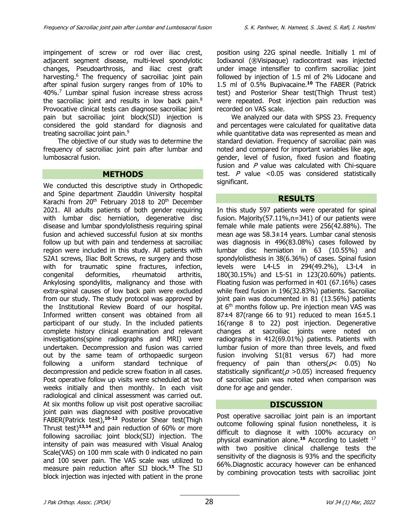impingement of screw or rod over iliac crest, adjacent segment disease, multi-level spondylotic changes, Pseudoarthrosis, and iliac crest graft harvesting.<sup>6</sup> The frequency of sacroiliac joint pain after spinal fusion surgery ranges from of 10% to 40%.7 Lumbar spinal fusion increase stress across the sacroiliac joint and results in low back pain.<sup>8</sup> Provocative clinical tests can diagnose sacroiliac joint pain but sacroiliac joint block(SIJ) injection is considered the gold standard for diagnosis and treating sacroiliac joint pain.<sup>9</sup>

The objective of our study was to determine the frequency of sacroiliac joint pain after lumbar and lumbosacral fusion.

#### **METHODS**

We conducted this descriptive study in Orthopedic and Spine department Ziauddin University hospital Karachi from  $20<sup>th</sup>$  February 2018 to  $20<sup>th</sup>$  December 2021. All adults patients of both gender requiring with lumbar disc herniation, degenerative disc disease and lumbar spondylolisthesis requiring spinal fusion and achieved successful fusion at six months follow up but with pain and tenderness at sacroiliac region were included in this study. All patients with S2A1 screws, Iliac Bolt Screws, re surgery and those with for traumatic spine fractures, infection, congenital deformities, rheumatoid arthritis, Ankylosing spondylitis, malignancy and those with extra-spinal causes of low back pain were excluded from our study. The study protocol was approved by the Institutional Review Board of our hospital. Informed written consent was obtained from all participant of our study. In the included patients complete history clinical examination and relevant investigations(spine radiographs and MRI) were undertaken. Decompression and fusion was carried out by the same team of orthopaedic surgeon following a uniform standard technique of decompression and pedicle screw fixation in all cases. Post operative follow up visits were scheduled at two weeks initially and then monthly. In each visit radiological and clinical assessment was carried out. At six months follow up visit post operative sacroiliac joint pain was diagnosed with positive provocative FABER(Patrick test),**10-12** Posterior Shear test(Thigh Thrust test)**13,14** and pain reduction of 60% or more following sacroiliac joint block(SIJ) injection. The intensity of pain was measured with Visual Analog Scale(VAS) on 100 mm scale with 0 indicated no pain and 100 sever pain. The VAS scale was utilized to measure pain reduction after SIJ block.**<sup>15</sup>** The SIJ block injection was injected with patient in the prone position using 22G spinal needle. Initially 1 ml of Iodixanol (®Visipaque) radiocontrast was injected under image intensifier to confirm sacroiliac joint followed by injection of 1.5 ml of 2% Lidocane and 1.5 ml of 0.5% Bupivacaine.**<sup>10</sup>** The FABER (Patrick test) and Posterior Shear test(Thigh Thrust test) were repeated. Post injection pain reduction was recorded on VAS scale.

We analyzed our data with SPSS 23. Frequency and percentages were calculated for qualitative data while quantitative data was represented as mean and standard deviation. Frequency of sacroiliac pain was noted and compared for important variables like age, gender, level of fusion, fixed fusion and floating fusion and  $P$  value was calculated with Chi-square test.  $P$  value <0.05 was considered statistically significant.

### **RESULTS**

In this study 597 patients were operated for spinal fusion. Majority(57.11%,n=341) of our patients were female while male patients were 256(42.88%). The mean age was 58.3±14 years. Lumbar canal stenosis was diagnosis in 496(83.08%) cases followed by lumbar disc herniation in 63 (10.55%) and spondylolisthesis in 38(6.36%) of cases. Spinal fusion levels were L4-L5 in 294(49.2%), L3-L4 in 180(30.15%) and L5-S1 in 123(20.60%) patients. Floating fusion was performed in 401 (67.16%) cases while fixed fusion in 196(32.83%) patients. Sacroiliac joint pain was documented in 81 (13.56%) patients at 6<sup>th</sup> months follow up. Pre injection mean VAS was 87 $\pm$ 4 87(range 66 to 91) reduced to mean 16 $\pm$ 5.1 16(range 8 to 22) post injection. Degenerative changes at sacroiliac joints were noted on radiographs in 412(69.01%) patients. Patients with lumbar fusion of more than three levels, and fixed fusion involving S1(81 versus 67) had more frequency of pain than others( $p$ < 0.05) No statistically significant( $p > 0.05$ ) increased frequency of sacroiliac pain was noted when comparison was done for age and gender.

### **DISCUSSION**

Post operative sacroiliac joint pain is an important outcome following spinal fusion nonetheless, it is difficult to diagnose it with 100% accuracy on physical examination alone. **<sup>16</sup>** According to Laslett 17 with two positive clinical challenge tests the sensitivity of the diagnosis is 93% and the specificity 66%.Diagnostic accuracy however can be enhanced by combining provocation tests with sacroiliac joint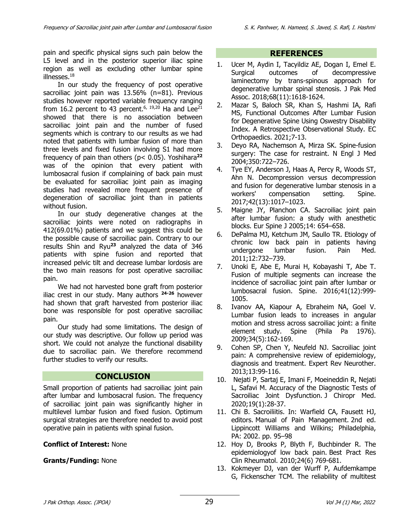pain and specific physical signs such pain below the L5 level and in the posterior superior iliac spine region as well as excluding other lumbar spine illnesses.<sup>18</sup>

In our study the frequency of post operative sacroiliac joint pain was 13.56% (n=81). Previous studies however reported variable frequency ranging from 16.2 percent to 43 percent.<sup>6, 19,20</sup> Ha and Lee<sup>21</sup> showed that there is no association between sacroiliac joint pain and the number of fused segments which is contrary to our results as we had noted that patients with lumbar fusion of more than three levels and fixed fusion involving S1 had more frequency of pain than others (p< 0.05). Yoshihara**<sup>22</sup>** was of the opinion that every patient with lumbosacral fusion if complaining of back pain must be evaluated for sacroiliac joint pain as imaging studies had revealed more frequent presence of degeneration of sacroiliac joint than in patients without fusion.

In our study degenerative changes at the sacroiliac joints were noted on radiographs in 412(69.01%) patients and we suggest this could be the possible cause of sacroiliac pain. Contrary to our results Shin and Ryu**<sup>23</sup>** analyzed the data of 346 patients with spine fusion and reported that increased pelvic tilt and decrease lumbar lordosis are the two main reasons for post operative sacroiliac pain.

We had not harvested bone graft from posterior iliac crest in our study. Many authors **24-26** however had shown that graft harvested from posterior iliac bone was responsible for post operative sacroiliac pain.

Our study had some limitations. The design of our study was descriptive. Our follow up period was short. We could not analyze the functional disability due to sacroiliac pain. We therefore recommend further studies to verify our results.

## **CONCLUSION**

Small proportion of patients had sacroiliac joint pain after lumbar and lumbosacral fusion. The frequency of sacroiliac joint pain was significantly higher in multilevel lumbar fusion and fixed fusion. Optimum surgical strategies are therefore needed to avoid post operative pain in patients with spinal fusion.

### **Conflict of Interest:** None

### **Grants/Funding:** None

#### **REFERENCES**

- 1. Ucer M, Aydin I, Tacyildiz AE, Dogan I, Emel E. Surgical outcomes of decompressive laminectomy by trans-spinous approach for degenerative lumbar spinal stenosis. J Pak Med Assoc. 2018;68(11):1618-1624.
- 2. Mazar S, Baloch SR, Khan S, Hashmi IA, Rafi MS, Functional Outcomes After Lumbar Fusion for Degenerative Spine Using Oswestry Disability Index. A Retrospective Observational Study. EC Orthopaedics. 2021;7-13.
- 3. Deyo RA, Nachemson A, Mirza SK. Spine-fusion surgery: The case for restraint. N Engl J Med 2004;350:722–726.
- 4. Tye EY, Anderson J, Haas A, Percy R, Woods ST, Ahn N. Decompression versus decompression and fusion for degenerative lumbar stenosis in a workers' compensation setting. Spine. 2017;42(13):1017–1023.
- 5. Maigne JY, Planchon CA. Sacroiliac joint pain after lumbar fusion: a study with anesthetic blocks. Eur Spine J 2005;14: 654–658.
- 6. DePalma MJ, Ketchum JM, Saullo TR. Etiology of chronic low back pain in patients having undergone lumbar fusion. Pain Med. 2011;12:732–739.
- 7. Unoki E, Abe E, Murai H, Kobayashi T, Abe T. Fusion of multiple segments can increase the incidence of sacroiliac joint pain after lumbar or lumbosacral fusion. Spine. 2016;41(12):999- 1005.
- 8. Ivanov AA, Kiapour A, Ebraheim NA, Goel V. Lumbar fusion leads to increases in angular motion and stress across sacroiliac joint: a finite element study. Spine (Phila Pa 1976). 2009;34(5):162-169.
- 9. Cohen SP, Chen Y, Neufeld NJ. Sacroiliac joint pain: A comprehensive review of epidemiology, diagnosis and treatment. Expert Rev Neurother. 2013;13:99-116.
- 10. Nejati P, Sartaj E, Imani F, Moeineddin R, Nejati L, Safavi M. Accuracy of the Diagnostic Tests of Sacroiliac Joint Dysfunction. J Chiropr Med. 2020;19(1):28-37.
- 11. Chi B. Sacroiliitis. In: Warfield CA, Fausett HJ, editors. Manual of Pain Management. 2nd ed. Lippincott Williams and Wilkins; Philadelphia, PA: 2002. pp. 95–98
- 12. Hoy D, Brooks P, Blyth F, Buchbinder R. The epidemiologyof low back pain. Best Pract Res Clin Rheumatol. 2010;24(6) 769-681.
- 13. Kokmeyer DJ, van der Wurff P, Aufdemkampe G, Fickenscher TCM. The reliability of multitest